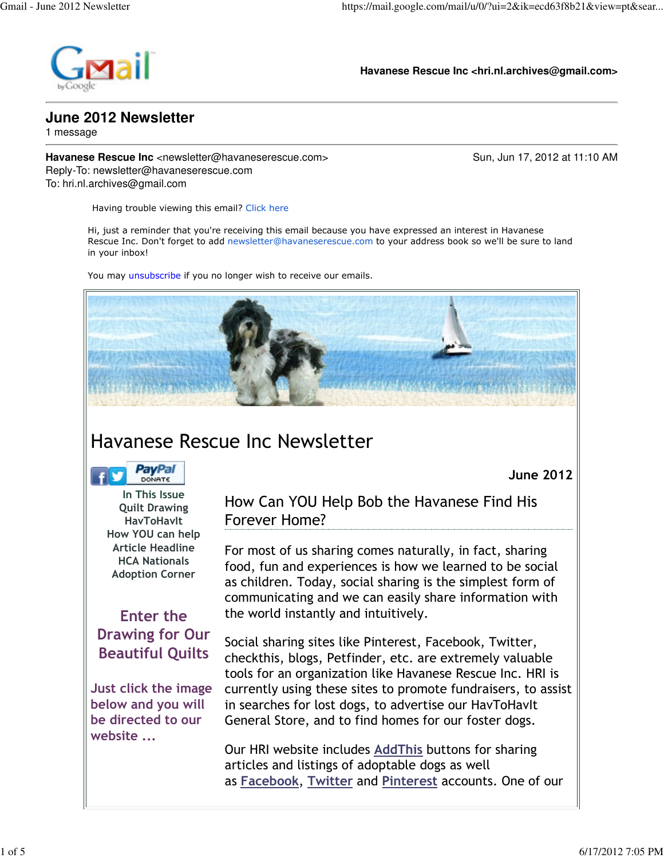

**Havanese Rescue Inc <hri.nl.archives@gmail.com>**

## **June 2012 Newsletter**

1 message

**Havanese Rescue Inc** <newsletter@havaneserescue.com> Sun, Jun 17, 2012 at 11:10 AM Reply-To: newsletter@havaneserescue.com To: hri.nl.archives@gmail.com

June 2012

Having trouble viewing this email? Click here

Hi, just a reminder that you're receiving this email because you have expressed an interest in Havanese Rescue Inc. Don't forget to add newsletter@havaneserescue.com to your address book so we'll be sure to land in your inbox!

You may unsubscribe if you no longer wish to receive our emails.



# Havanese Rescue Inc Newsletter

**PayPal DONATE** 

In This Issue Quilt Drawing **HavToHavIt** How YOU can help Article Headline HCA Nationals Adoption Corner

## Enter the Drawing for Our Beautiful Quilts

Just click the image below and you will be directed to our website ...

How Can YOU Help Bob the Havanese Find His Forever Home?

For most of us sharing comes naturally, in fact, sharing food, fun and experiences is how we learned to be social as children. Today, social sharing is the simplest form of communicating and we can easily share information with the world instantly and intuitively.

Social sharing sites like Pinterest, Facebook, Twitter, checkthis, blogs, Petfinder, etc. are extremely valuable tools for an organization like Havanese Rescue Inc. HRI is currently using these sites to promote fundraisers, to assist in searches for lost dogs, to advertise our HavToHavIt General Store, and to find homes for our foster dogs.

Our HRI website includes AddThis buttons for sharing articles and listings of adoptable dogs as well as Facebook, Twitter and Pinterest accounts. One of our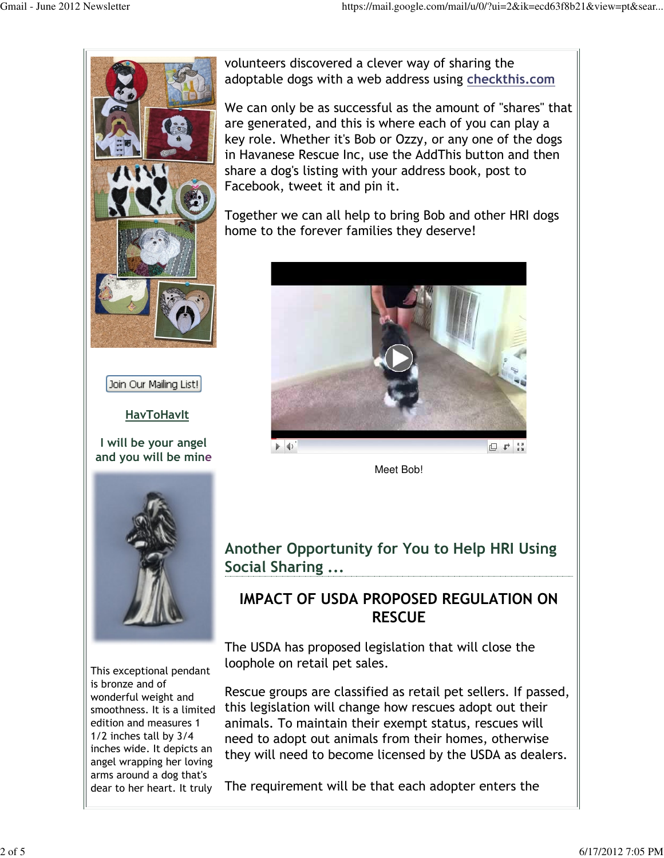日 1 ::



Join Our Mailing List!

#### **HavToHavIt**

I will be your angel and you will be mine



volunteers discovered a clever way of sharing the

adoptable dogs with a web address using checkthis.com

We can only be as successful as the amount of "shares" that are generated, and this is where each of you can play a key role. Whether it's Bob or Ozzy, or any one of the dogs in Havanese Rescue Inc, use the AddThis button and then

Meet Bob!

 $\blacktriangleright$  4)



This exceptional pendant is bronze and of wonderful weight and smoothness. It is a limited edition and measures 1 1/2 inches tall by 3/4 inches wide. It depicts an angel wrapping her loving arms around a dog that's dear to her heart. It truly

Another Opportunity for You to Help HRI Using Social Sharing ...

#### IMPACT OF USDA PROPOSED REGULATION ON **RESCUE**

The USDA has proposed legislation that will close the loophole on retail pet sales.

Rescue groups are classified as retail pet sellers. If passed, this legislation will change how rescues adopt out their animals. To maintain their exempt status, rescues will need to adopt out animals from their homes, otherwise they will need to become licensed by the USDA as dealers.

The requirement will be that each adopter enters the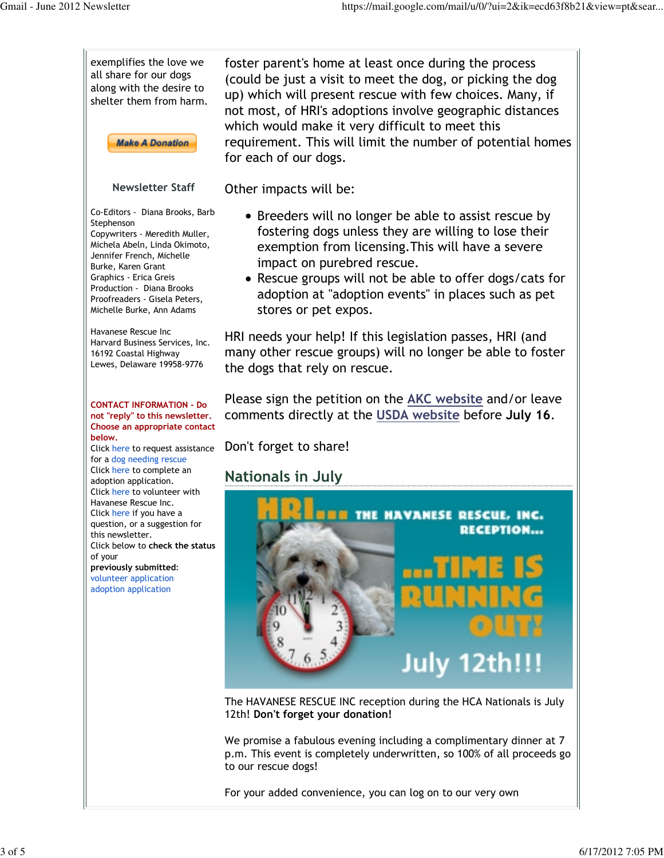

For your added convenience, you can log on to our very own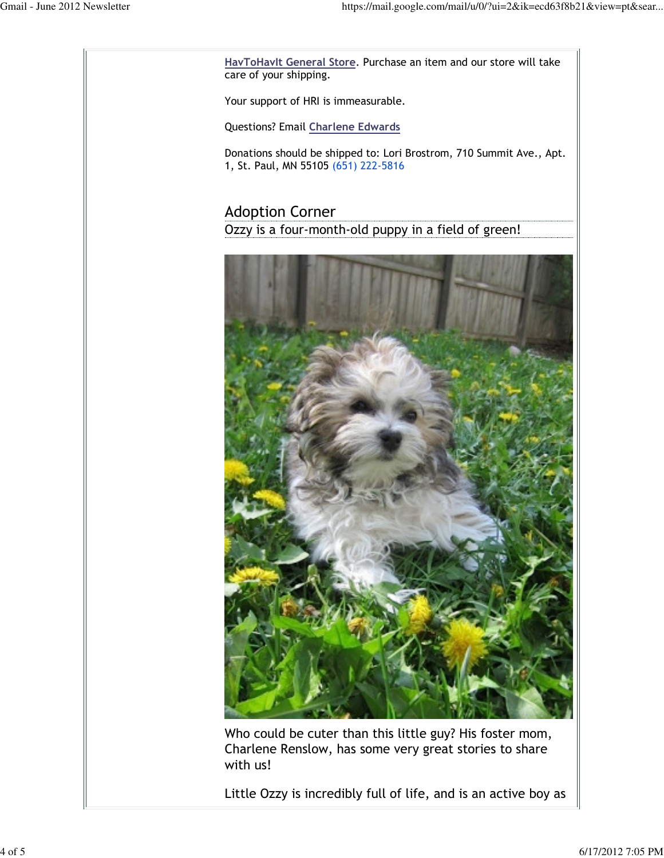HavToHavIt General Store. Purchase an item and our store will take care of your shipping. Your support of HRI is immeasurable. Questions? Email Charlene Edwards Donations should be shipped to: Lori Brostrom, 710 Summit Ave., Apt. 1, St. Paul, MN 55105 (651) 222-5816 Adoption Corner Ozzy is a four-month-old puppy in a field of green! Who could be cuter than this little guy? His foster mom, Charlene Renslow, has some very great stories to share with us!

Little Ozzy is incredibly full of life, and is an active boy as